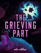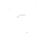*hi,*

*this one kind of is……*

*y'know……*

*lol!*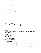#### **1. Ricky Pendergast**

There was once a 10th grader Named Ricky Pendergast

Ricky Pendergast had been struggling very much in high school, He felt like every class he went into he was looked at as some odd thing.

He didn't know why he felt like this. He had….friends? He felt like he could name a few people he could call "friends"

But no one….

Well, no one who spontaneously invited him over on the weekends Or who invited him out to the beach late on Friday nights No group that he belonged to,

And whenever there would be some grand hangout (Of 10th grader fashion) ((So, like a kickback or something hahahahaha)) He would seem to be just outside of the range of closeness to be invited

Why? ricky asked Is there something I could do so that people would just like me? like, so that everyone would just fuckin' like me?

Well yeah. his uncle responded 'f Course there is.

W….what? what do you mean. ricky said, feeling very taken aback

#### and his uncle began,

ricky, Every person who doesn't love you -- who **can't**, see, who **chooses** that they can't love you mhmm….Every one of those S O B's has got a version of you in their head….see? a version of you in their head that they think you **ought** to be. A version they consider your best, which really just means the version of you that would suit **them** the most, that would satisfy **them** the most….And they've simply decided to not let go of that idea. They've just decided, see, that they have you figured out, figured out how you *should* act….in a way that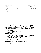would….maximize your potentialuhhhh…….*That would make them a good person,* They'd think to themselves…….*if only they acted this way*……*that would be good………*so, SURE heh, if you acted *exactly* as everybody secretly **wanted** you to. Read every person's mind and then molded yourself exactly to please every person's selfish expectation of you? Then, shoo, yeah, yu'd probably be the town favorite! BAHA!

and ricky's uncle really, just laughed at that one

really just laughed in his large leather chair with a glass in his hand and years of loneliness in-between his eyebrows.

and ricky sat with eyes agape having seen into some closet he wasn't supposed to.

But yuh can't do that, Ricky!

his uncle continued.

That's the way a **fool** lives. Trynna please every'un around them? What on earth did **they** do to deserve so much of **your** spirit? You see? Of your **time**? Nuthin. That's the real answer – they didn't do nuthin' to deserve that much of your energy. Of yur **spirit**, you see? that's yours. Ain't matter if the whole world couldn't give ya the time of day, no one can **ever** take that from you.

Ricky's uncle said all this With one long and boney pointer finger outstretched And his lower lip plopped slightly out He sat back in his chair.

Yur time is what you got. And ya give things value by how much of your time you put into 'em. Someone said that once. Shoot, **lots** of people have been saying that for a looong time I think heh. Do yuh understand what I'm sayin' here, Ricky?

And Ricky felt like he understood too much.

Had understood absolutely every word that had fallen out of his uncle's mouth.

With crystal clarity.

With a clarity crisper than cracked ice.

Felt like the windshield of his reality had been wiped clean.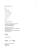And for the first time.

Saw….

EveRythiNg.

He saw everything.

The inner workings.

The equations.

The...The

Ricky?

his uncle asked again

Ricky had been gazing at his own hands With those wide, agape eyes With eyes that had learned.

He looked up at his uncle Who looked down at him with his head cocked Looking down on him So that he was in the shape of some chicken. Some tall chicken.

# Yeah.

ricky said, plainly

# Yeah, I………Yeah

he had no more words to say nothing more…. nothing more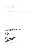ricky understood something very different than what his uncle had intended him to understand....

what his uncle would go back home thinking he understood…

See,

Ricky's uncle felt very surely that he had given his nephew a piece of wonderful advice for strength

For self-love, really

And, to be fair, Ricky's uncle *had* shared with his nephew A piece of advice that had really helped him so very much in his own life A piece of advice that, when he had picked up, Really changed him Really made him realize his imperfect and glorious worth.

But,

Ricky's uncle learned this lesson when he was 28 And Ricky was 16 ….So Different Lessons were Conveyed. And

Now, Everytime Ricky sat in a classroom Or on the blacktop at lunch When he'd see the people Who'd walk around him Talk to him Or even were in his school's clubs with him

Ricky could **only** think,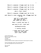there's someone (2)you want me to be

there's someone (3)you want me to be

# who's that like?

there's someone (4)you want me to be

and there's even someone who (5)you want me to be

> and if i only knew who that me was……… who they all were………

then i could just be it

and you'd all….like me?

mathematically…

i really could…

i mean you'd all just have to like me? just like……that?

And this habitual thought Became so commonplace for Ricky That even when, as months and years passed, and Ricky would find himself in situations with people who really enjoyed his company

friends at bowling alleys, joking in class, playing basketball, even under string lights with a boy he found very cute

Ricky could still **only** think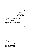am i just being the you that you want me to be?

and if i wasn't being this me, wouldn't you just

# walk away? leave me?

Which gnawed at Ricky's pleasure in socializing. So much so, That by the time he was 19

He had refused to let anyone into his intimacy Unless he felt like He could change his entire identity overnight **Every** single one of his values and virtues And this person's love for him would be **completely** unchanged. Unfazed.

So…. Ricky didn't have….uhhhhh much….intimacy at all….really

for like……

yeah, for like a while…..

until he was 24 which was the first time

someone saw him with eyes that wanted but that wanted softly wanted with a heart that had matured, and had grown up a few times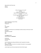when someone with those eyes saw him and said,

# *...i like you the way you are, yeah? and like, yeah, if you changed, like maybe my like for you would also change. if it didn't i'm pretty sure i'd just be like, worshiping you? like a god? hahahaha which is like yeah that's like hahahaha kinda fucked*

And this happened to be said to Ricky While he was stoned And also 24.

so, ricky laughed actually

laughed at how ridiculous his own philosophy sounded coming out of this boy's mouth! how clearly…. ridiculous!!! it sounded and, ricky

had another moment where he felt like he **understood**

but this time it didn't feel like…. too much

it didn't feel like he was seeing something he wasn't supposed to be seeing but………more like realizing the sweater on the chair in the middle of the night isn't a scary gargoyle that it's just a sweater….

and that night ricky and the boy kissed each other with their tongues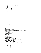and they scrolled through memes together laughing laughing gosh, they were laughing and they made a huge batch of pasta and both ate far too much. laughing eventually started kissing again but stopped because ricky wanted to go slow and the other boy was a kind one who was in no rush and so they kept talking with grins and glistening eyes and giggly toes that tapped on each other like windchimes

and ricky went back home to his own apartment the next morning.

and the air tasted like ice water and the dogs walking with owners looked like beautiful paintings and the playground, was the sweetest music and even his own room, was warmer

and he sat there. on this worn mattress this resting place he knew so well with skin that had always felt so tight on his bones now felt bound by loose lace with a spaciousness so permeable it felt as if all the world's warmth could pass in and out of him in an instant like pure radiance.

and ricky pendergast enjoyed this feeling the whole morning ricky pendergast just enjoyed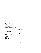this feeling quite a lot and then he took a nap.

and then woke up

some time later in the afternoon

with the sun quietly shimmering across the floor and walls of his room

and ricky pendergast felt distinctly as though he was in-between things

felt as though this place and this moment was certainly not a dream but **was** certainly not the reality he was familiar with

*so what of that?*

ricky thought to himself

*where am i?*

he thought to himself

he didn't even realize the answer fall from his lips

*happy?*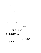#### **2. i miss you**

*and so, they were in a garden.*

> *the two of them, together*

*were together, in the garden*

*there, they spent all the time they could have ever hoped to spend with each other*

> *they relaxed, and laughed*

*shared all the secrets they had always talked about sharing*

*they got lost in their love for each other because they were in the garden together*

> *and the rest of the world seemed so misguided*

*when they were in this garden together.*

> *"why doesn't everyone just do this?" "lie down in a garden with someone they love?"*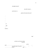# *why didn't everyone?*

*why didn't everyone……*

# *just lie down in a*

*garden with someone they love?*

| .                    |  |  |
|----------------------|--|--|
| .                    |  |  |
| $\cdots$             |  |  |
| $\cdots$             |  |  |
| $$ oh                |  |  |
| $$ right             |  |  |
| $\cdots$             |  |  |
| $\cdots$<br>and then |  |  |

*\*sigh\**

*and then one of the two of them just sorta*

|                                     |   | got up.  |         |   |   |  |
|-------------------------------------|---|----------|---------|---|---|--|
|                                     | . |          | $\cdot$ | . | . |  |
| and walked <b>out</b> of the garden |   | $\cdots$ |         | . | . |  |
|                                     |   | *sigh*   |         |   |   |  |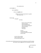*idk, somewhere else.*

*and the other one*

*who was still there*

*felt now so stupidly aware*

*of why everyone doesn't just lie down in a garden with someone they……….*

*because now*

*this garden*

*felt moldy.*

*because This was their garden This was the place where everything felt like "why isn't everyone doing this?" This was the place that felt like The Answer*

*and now This Place felt moldy. The Place that felt like The Answer was now mold.*

*and can i tell you another reason it sucked so bad? the real Greek aspect of it all?*

*is that neither person felt like they were the one who actually got up and left the garden each felt like it was the other person who had gotten up and left*

> *….even though there like, was one who*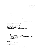*did just objectively get up and just like, leave……….*

*whatever,*

*now, they both felt alone in a garden of*

> *pff idk*

> > *memories or some shit….*

*what even was in the garden at this point? just shadows? is there anything solid here anymore? any seedling that isn't just some twisted sprout of an old nostalgia? is there anything here that isn't just a fucking empty shadow.*

*………….*

*even still, if it was true that neither of them had really left then were both of them just wandering around the same beautiful garden with mold over their eyes….? blind to the other's presence?*

*is that still?... some semblance of togetherness? is that still?... some type of connection?*

> *can't they still be....? in a garden together?...........*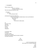#### **3. the Jazz Ant**

There's a colony of ants that live in a bathroom in a house on the island of Kauai They have swarmed the bathroom's toilet.

on the seat and under, even on the lever to flush.

and because this house has 2 bathrooms,

the two humans living there decided simply to never use *that* bathroom "leave it to the ants" they joked, and so the ants lived in relative peace.

but this colony of ants, does have this *one* ant who just can't stop singing jazz.

it's marvelous, really how this ant in a colony on Kauai was able to even hear jazz let alone feel it intimately enough to be able to recreate it to be able to improvise it!

> but, ya know she's an ant.

> > and it is not marvelous to ants when another ant is constantly singing jazz it is, in fact, rather obtrusive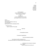strange mutated misguided distracting convoluted and weird

but this judgment that the colony felt for the jazz ant never pushed any individual to kill this jazzy ant or even to expel her from the colony just enough for them to be cold to her.

and so, every morning when the ants soldiered on their way over to that toilet, beginning their uniform scavenging routines

the Jazz Ant, see began to wander off in zig zags

beginning,

her own day

of extrapolated nonsense

of marvelous misguidedness

purely improvisational nonsense

and whenever another ant passed her by they tried their hardest not to present that they could even hear her

> pretending to be so focused on whatever they're lugging that they "just didn't even notice you!"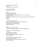and this is how the colony got along for very long until the Jazz Ant got very old, in fact

who still kept on improvising. even in her decay of body……

### and yes,

to anyone truly steeped in jazz they would recognize that this ant had evolved into having quite a sophisticated mastery of this musical style expanded upon it, even expanded upon it so far that humans themselves would have learned many things just by listening to Jazz Ant.

but no one *was* there to tell her that because the owners of this house never went into that bathroom and because none of the *ants* knew jazz none of the other ants found *any* strength in what she found life in.

and so as she entered into her ancient years, the colony was just beginning to hear her disruption as **part** of *their* music.

this is not to say the ants were enjoying her or her jazz she was still treated as an oddity and if you asked any one of them, every ant would tell you just how annoyed they were by that "darn Jazz Ant."

but in an unconscious contamination of thought, she had become *their* odd Jazz Ant she had indeed settled into some strange place in the family even if on the outskirts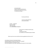and centuries later when the humans were all but ash and this world made only the sounds of scuttering scavengers……..

the colony still thrived.

around an eroding toilet bowl and would tell stories

of some….excitement that once existed within this colony some **extraordinary** strangeness

> and the ants as a collective loved this story so much it would even be used as a transition out of awkward pauses of silence

*"kinda crazy how we once had that ant that sang gibberish all the time, huh?"*

and whatever ants were in that awkward silence would say things like *"hmmmm"* and *"gosh"* and *"oh yeahhh"* and these were genuine exclamations of awe all the ants floating into some deep, philosophical introversion for a few moments.

…………………………………………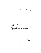when did the colony become capable of philosophy? how did they become capable of dreaming? of nostalgia? was it really just that one guy? was it how they all treated her?

when did the colony go from despising her to treasuring her?

there doesn't seem to be a clear day, there doesn't even seem to be a first time one of the ants loved her

*….*

but if you were able to see all of the ant colonies in the world this one, now in a world of ash this one was one that was the most dream-filled…….. and *that… .. . . … .*

that

*has* to count

for something

….. …… , right?

*….*

*…*

……….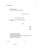# **4. the hairy guy.**

*remember those kids? those kids that walked to school together?*

*there were 4 of them……*

*i can't remember their names….*

*but i remember a color each of them usually wore…… idk why……*

*uhhhh…….*

*yellow red black gold ?*

*gold's pretty similar to yellow…. but the names sound different…. plus this gold thing was like gold it was very much not…..yellow…. i'm getting carried away, sorry…… memory sessions'll do that to me*

*okay, so*

*the 4 kids*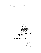Gold, Yellow, Red, and Black would walk to school Every single day

And on their path a garden lay A floral wonderpatch

> But in the green There was a sheen A beast named tales of old

> > Great, big **Monster** lived there.

It had white hair **Long** white hair That fell down to the grass Hair of such volume It concealed any outline of legs or body

The monster was huge The size of 20 kids piled onto each other Maybe even bigger…. Maybe he was just sitting…. Maybe if he stood he'd double in size… No one had ever really seen him move At least Yellow hadn't Because she asked,

*you ever seen the hairy guy move? run? walk?*

And the group laughed **Quietly** To themselves Stalling on what to say Yellow was the youngest of their 4 So they had to teach her right.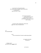*i once heard it run through the streets, the vibrations from its footsteps made the whole city's car alarms go off dogs were barkin' for days*

> *i once heard it's kept tame by being fed by our parents sacrifices of cows or goats and i heard he eats 'em in a swallow like it's nothing.*

*jaw opens up like a whale shark, is what i know and he has 3 sets of retractable teeth*

*3?!* this was yellow again.

*yup 3.*

*but it can retract them if it wants to swallow larger objects*

*or to appear more docile.* this was red.

*whaddya mean? why would it want to appear docile?*

*so it can lure.*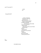*it lures. kids.*

*like us kinda kids??*

*just like us kinda kids it lures them in with song. enchanting song before you're close enough, it makes its appearance look as harmless as possible and once you're close enough, they say its eyes have a hypnotic quality that once you look in you can't leave and then he just eats you. and you let him. he just picks you up and just eats you. just like that. and you just sit there and you just let him do it*

*w.. WHAT*

red nodded her head.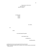*there are tons of kids who've been lost to him. keep your distance.*

and yellow did. she did she did she did

for a while….

but

slowly

on the walk passed the garden

she'd started to hear

a whistling tune….

something sweet…..

something that she knew was the giant the first time she heard it despite it sounding far sweeter than the hideosy of the monster the group had described yellow just knew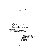but, with her friends' voices in her ears, she muffled it out and heard it as just a passing tune like walking by a store with tv's in the window…… just one of the sounds on the school walk….

and that worked……….

for a while………

until yellow

found herself humming the tune while alone in her bed, and then singing something all her own, yet inspired by the melody, then thinking about where the beast's song *could* go next, and what the beast looked like when he sang it,

was he expressive? did he have an expressive face when he sang? or was he a more concerned and focused singer?

……

and then on the school walks, she found herself drifting into silence right as they'd pass by the garden she'd turn her head, trying to catch a glimpse of the singer itself

but she never could. all she could see was the top of its head white fur rising and falling like the waves body tucked behind rows of bushels and trees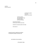and then, the moon was full.

> and Yellow lay awake in her bed gazing out the window

somehow positive she could hear its song through the glass and down the blocks.

she swore she heard it and she swore it didn't sound scary

and with no one else's words in her head

she snuck out.

creeping through the neighborhood nighttime it sounded like midnight, but felt like noon.

and suddenly she was standing,

at the garden's edge.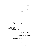the song was different than what she would hear in the

daytime on her walks.

only slightly,

slightly louder

slightly more explorative

slightly more dangerous

that word dangerous. singed at yellow's fingertips and made her heart whine but not cower this was not that kind of danger

she began to walk closer thro*ugh the garden dripping into music*

*swallowing your before*

*the licks and lilts of a nighttime wondersong*

*dancing around your head*

*like ribbon*

*like sheet music risen up from the page*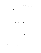*you notice the birds there are birds slipping around you*

*birds of kaleidoscopic colors strange birds strange sounds*

*jungles and deserts and snowflakes and mountains….*

*you hear the song so close*

*loud*

*you hear that it really….*

*whatever it's coming out of*

*is big*.

*woah.*

yellow stopped for the first time since entering the garden the magnitude of the sound made it far less calming than it had been before this sounded much realer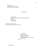much stronger it made her whole body vibrate like being up close to a concert amp.

the song stopped,

so did the birds. all that can be heard are the crickets beyond the garden but within? the air was still it was anticipation.

she didn't know why she did it but yellow walked through the last row of branches

> he was big. draped in white hair that unfurled onto the grass pooled itself into knots no figure of any body part could be seen behind the cloak

only its

he was beautiful.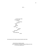eyes……

*his eyes were rubies they were small, concise, condensed, reflective, honest, pure, beautiful, radiant, thin, shallow, glass-y, tormented, scared, and unbelievably human.*

the hairy giant and the yellow-socked girl looked at each other

the birds had not started up again but the dragonflies and fireflies *had* begun floating once more so in this sea of gliding stars……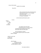beautiful in the moonlight

they all did….

yellow remembered the stories of kids being eaten remembered the monster's mouth unhinging where was its mouth? oh god it had worked, she thought oh my god i'm hypnotized

and her whole body fell towards a sprint

but was

stopped by a tone. single, softer, and quieter.

> the creature's eyes were closed and held this tone for a very few moments sounding like stones skipping across a pond like the alarm bells to the solar system

the tone whispered to a silence and the creature opened its eyes to look at yellow frozen in mid-flight

looked in a way to ask, to make sure, " quiet enough? "

> yellow fell again, this time into a smile as she nodded her head and her body softened to a kneel

the creature smiled too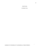32

closed its eyes,

and began to sing.

SUDDENLY!!! IN THE MIDDLE OF YOU READING ALL THESE STORIES!!!!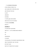## **5. an interlude of introversion**

A HOLE OPENS UP ABOVE YOU

JUST, SOME SORT OF SPECTRAL HOLE

AND THROUGH THE HOLE

FLOATS

AIMLESSLY

AN ANGEL!

IT LOOKS JUST LIKE AN ANGEL

AND NO NO, NOT LIKE "AN ANGEL"

# IT LOOKS LIKE **AN ANGEL.**

RIGHT!?!?

# **AN ANGEL***!!!!*

IT FLOATS INTO YOUR ROOM

AND IS UH…..A LITTLE UNBALANCED HONESTLY

OH!

OH

HAHAHAHAHA

IT'S HIGH!!!!

ITS EYES ARE A LITTLE DROOPY AND DEFINITELY RED

OMG IT'S DEFINITELY LIKE, TOO HIGH

BUT DON'T UHHH

DON'T LET IT KNOW THAT YOU KNOW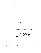# I DON'T THINK IT WANTS YOU TO KNOW THAT

#### THEY MIGHT GET REALLY SELF-CONSCIOUS ABOUT IT

*heyyyy, what's goin' on?*

*just wanted to swing by*

*, you guys just all seem to be uh*

*like*

*FREAKING out about everything*

*….hahahaha well not really it's just…….*

*yeah like,*

*i know there's a MILLION things to like, …… "fix"*

*like things you need to um…….. like fix! you know like hate and you're trying to solve hate which is…….*

*valiant.*

*but.*

*…….yeah i've just been seeing you guys, like really like going in on yourselves?*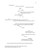*really being like…..*

*kinda mean to yourselves…..*

*just about how you're like*

*living? and*

*feeling?*

*for?*

*and like*

*whether or not you have enough strength to make breakfast one morning?*

*or ho w*

#### *long you feel heartbroken*

*or lost*

*idk*

*like things that in and of THEMSELVES are like, not a good time haha and yeah, like THOSE are the times you're hardest on urselves….?*

> *i think cause u think the most change needs to happen like, if things are really bad then like something's gotta CHANGE which,*

> > *yeah*

*is valiant.*

*but, sometimes there aren't things to change, you know?*

*or at least no things that YOU can change and,*

*trust me*

*everything has things that they can't change. there is something above everything….*

*you guys have gotten really good at fooling yourselves otherwise though haha……*

the angel floated into sitting on top of that wooden dresser you have they're really seeming to get settled into ur room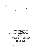it's sweet :) it's trust

*and so i'm just kinda worried about you guys, i don't know*

*i like you guys….*

*i like, LOVE you guys….*

*idk why about that one*

*i just really want you to be nice*

*to urselves………*

*idk……….*

and i think the angel did have more to say not a ton more they got out what they *really* needed to. but i think, in private, they'd tell you they had more they wanted to say but hahahahaha no joke? they were too high and started getting anxious and paranoid. started thinking about how you're perceiving them and how they're also an angel. and you're also a human.

….

and they didn't know if any angel had actually ever been *seen* by a human before so uhh they started feeling like they might be currently causing a cosmically large event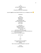so they uhhh just lifted their head towards you smiling seeing you mf'ing BUG-EYEING them hahahahahaha

cause this **angel's** just been MONOLOGUING at you so of **course** you're like

### hahahahaha

and so, they just slowly drifted back up into the hole, pretty awkwardly really it was a pretty awkward moment in your room with an angel.

and as they floated through the hole the sides of the hole folded over each other like how a grandmother folds a picnic blanket and the creases somehow just seemed to flatten themselves out, and the hole was gone. and any traces of it had totally vanished.

and it was just

you

again.

and you took the time you needed to scoffed, shaking your head, thinking, "damn, mercury's gotta be in retrograde 'er some shit"

> and then you kept reading.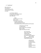# **6. "I am the sun."**

there was this boy, this young boy young boy with dark skin who was sitting on a beach by himself.

> up in Northern California not very close to the house he lived in the college house he shared with 4 other boys

> > Magic, {which was the boy's name} {i know, i know, he had really cool parents} had been coming out here pretty frequently this last month. he had started feeling a spiritual significance with this place

> > > 3 weeks ago his mom died in a freak accident where a Trader Joe's roof collapsed killing 31 people magic's mom being one of them.

> > > > and in other times, magic wouldn't really consider himself a very spiritual person but everything magic thought he knew about evrythng had essentially been lit on fire in these last three weeks

> > > > > nothing felt real. no truths felt true. all answers seemed. to lead to. the same. bottomless darkness. the same. bottomless questions.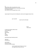so, magic feeling a little more spiritual than normal finding some spiritual significance in some place by his house he'd otherwise overlook was nowhere near the strangest thing in his life

magic longed for the day when him feeling like a weirdo was the biggest anxiety he had.

*.*

*god i would kill*

*to get to just be weird again.*

and at that moment.

as magic was dripping a fistful of sand onto his right knee, the sand began falling with extreme slowness.

parachuting through hardening cement.

magic saw and stared at it

eyes squinted eyebrows furrowed he turned his head to the right,

> but his head left a trail of heads as it moved and magic felt all of them as his own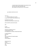a moment where his head existed in many places at once and those other heads evaporated away after-images that remained only for a few seconds

*ugh, alright, what the fuck is this*

magic saw raindrops falling ever so slowly, he hadn't even noticed it was raining until now.

he looked over to his left head-tracers disorienting him along the way

and to his left he could see the waves

well,

A wave near the shore,

having just completed its rise up it had just begun its crash but collapsing ever so slowly it looked almost frozen.

so magic looked up, above him. and when the warping of his heads receded magic saw, a bolt of lightning.

directly above him. moving, down towards him very slowly.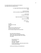but certainly faster than everything else he'd looked at even faster than the rain falling next to it

> so, magic started feeling pretty fucking SCARED (obvi)

> but even his heart, which only wanted so desperately to start racing

> > was too slow to expel even a thump.

magic was suspended in this experience, alone. without even his body

> without even…. his body

so magic looked back to his right and saw **now**, someone who was sitting next to him someone who looked very human but not someone magic had ever seen before

they looked really androgynous, magic couldn't guess what gender they were which magic actually liked better when meeting new people.

> they had dark skin too not dark like his, theirs was a little lighter and a little….warmer? and they had really thin, really shiny black hair that only fell to their forehead.

and they were looking up at the lightning too.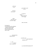*uhhh hey?* ( ^magic^ )

*you're talkin' to me?* ( ^stranger^ )

## *obviously, who are you?*

*oh, gosh uh i dunno….. i think i'm just me? who are you?*

*uhhhh i don't know, man my name's magic*

*woah, cool name*

but magic was so accustomed to this compliment – having a name like magic that he had made a habit of just not responding at all when it's said

> *dude what's this lightning doing?*

> > *oh uhhhhh yeah well it looks like it's heading for you*

*y….yeah why is it why's it doing that?*

*o, you mean like the physics of it?*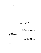*i mean like am i about to die?*

*oh…..that……i do…. yes, you're about to die.*

they both stayed quiet for a second.

*did you…. are you real?*

> *definitely. yeah, definitely but no one ever thinks i am at first so your suspicion is not like, a-typical, is what i'm saying*

*are you like here for me?*

*huh…..maybe…. i guess the only other option is i'm here for me,*

*but but did you…. did you choose to be here? did you……..*

> *uh….no i don't think so i'm just kinda tossed around like this*

*wait – you've – ? have you been in a situation like this before?*

*i mean –*

*uh, this is kind of the only situation i've ever been in.*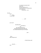*i'm sucked to one person who's about to die and then when they…die i'm just sucked over to another person who's about to die and then just….so on*

*holy shit what? this is…. i'm gonna die?*

*………..yeah*

*you're sure?*

the other person just looked up and, then magic looked back up the lightning shooting off thin little roots as it unfurled towards their spot on the beach

*yeah…..*

*that's…. really coming for me?*

*….it looks that way, yeah*

*holy shit……. why?*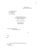*god i don't know i don't think there's a reason*

*w – well why are you why the fuck are you why is it not…. why….are you not…..*

> magic looked at their person who was now looking back at them wordless, confused too

> > and they were quiet again.

magic looked down at the sand this time

*has anyone ever been able to like avoid it? get out of it?*

*….no*

*damn*

*……. damn.*

> *damn, that's kind of fucked up that you have to just like, watch it over and over…….*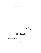*do you like serve god? are you an angel?*

*oh i don't serve…. well if i do i've never met them this is all i know there's not like…. i don't converse with the power above me…… which is the distinct characteristic humans seem to have about angels but…… no, i don't get answers. same as you.*

*how long you been at this?*

> *oh god how long? ……………….um*

magic recognized the grief recognized the shatter in their inhale

*sorry. don't. don't worry about it.*

there was quiet again, both looked back up at the crawling death

*can you….*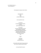*am i allowed to ask you…. are you allowed to --*

the stranger took magic's hand in theirs

# magic felt shock, relief, care and then started crying.

but it was still too slow.

no tears fell his heart just wept to breathe. to heave and his tears longed to fall

he just tried focusing on the present moment tried meditating, essentially because that mindset and practice had been really helping him through these last few weeks so he shut his eyes and

### heard

! the waves the waves? he didn't know how

but he didn't want to open his eyes anymore didn't want to explain away the illusion.

so he just heard the waves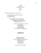and felt the hand wrapped around his own and…. smiled? jesus….

and the lightning kissed the top of magic's head

raced through every hollow bone and open vein every muscular tissue every pocket of marrow

> electricity shuffling its way down every avenue eyes flipping open in extraordinariness, his fingertips had become eccentricism, they had become rockets.

> > there was no pain, but there was no comfort and despite the overwhelming sensation the unbelievable accumulation of feeling his mind was echoing a single phrase

# "I am the sun."

with lightning through him, with waves around him, he felt the centerness of his purest essence, in the middle of all things being observed by the quantum world as pure royalty

and then he had his next thought.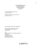# "how futile all that. feels now" "how. whole ifeel now" "what does. *that* mean?" "am i. alive?"

and then the lightning struck the sand and a boom rang out.

and wherever in this universe his mom was magic was now there.

the event startled very much the closest person,

which was a light-skinned man in his 50's who was asleep in a public bathroom 5000 feet away

who, shocked awake from his unexpected daytime rest still between his dream and reality grumbled only one word before falling right back in,

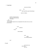# **7. Cloud's tale**

we were over florida.

like,

uhhhh

600? feet off the coast of South Beach

(which is in Miami).

it wasn't a cloudy day at all, there were purely blue skies everywhere, but

in this one spot

due to scientific reactions far too complicated for this writer to list out or know a cloud formed.

it was

really frail

and

in fact,

almost skeletal

it just drifted into a floating existence

*huh?*

it thought.

and it wasn't sure where to go after that.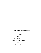*huh? what?*

andthen,,,

*woah*

its backside was

all of the sudden, disappearing.

### *wait*

*wait*

it was already half the size it was 5 seconds ago

it was being

blown.

it was feeling wind

but did not yet know that was the name

of the thing dissolving its body away

but its body *was* dissolving

and it *could* feel that.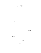its body now only a quarter of its 10-second-ago size

*hmm….*

and the wind blew hard

and the cloud

with only a drop of its head left

looked down

and saw

this….

blue?

blue….

wow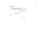it wrinkled like like….. well the cloud didn't know! cloud didn't have anything to make a simile out of

but it saw this….blue

and it wrinkled….

and it….

*oh!*

*oh!*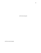and the cloud was gone.

and the sky was clear again.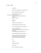### **8. "We're….Stuck!"**

*somewhere,*

*deeply far from the planet you ~probably~ live on*

*there is a galactically large black hole*

*about 1000x the size of Earth (the planet you ~probably~ live on) which isn't actually that big for black holes but is still pretty monumental*

> *it rests in distortion*

*omitting a low and ominous hum*

*rolling through the thick vacuum of space*

*and, as is typical during the life of a black hole*

*a star was drawing close a star that had been drifting towards this black hole, unknowingly, for the last ten thousand Earth years or so*

*and it was drifting to the point of closeness*

*where the gravitational pull of the black hole would become so strong on this little star that the star itself would be ripped apart*

*torn*

*and split.*

*shredded into oblivion*

*atom by atom.*

*until it is completely devoured and*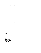*there would be absolutely no trace left of the star.*

*now,*

*there was no conversation that happened*

*between that black hole and that star*

*as this destruction occurred*

*however,*

### *\*ahem\**

*if a conversation were to have happened*

*i think it would have gone like this.*

oh. hey!

oh! hey

i...uh you're the thing that's been pulling me for so long?

y….yeah i think so

o….uh….okay!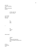wow, hey! i've been wondering a lot what you were gonna look like

> oh haha, yeah i bet. how do i hold up?

you're uhhhh gosh, you're really big!

> oh yeah yeah….

:)

hey i just uh…. (shit)

what's wrong?

i always - sorry i always start crying when - and i can't speak very clearly once i -- (shit)

are you…. is everything okay?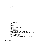look, i just don't…. **UGH!!!!!** 

oh uh….

## I JUST DONT WANNA SHRED YOU APART!!!

oh….hey

I DONT WANNA KEEP **FUCK** IM SO TIRED OF THIS I DONT KNOW I FEEL SO BAD FOR WHAT I UGH AND YOU'RE SHIT YOU COULD HAVE HAD **LIFE** YOU KNOW? AND I'M JUST IM JUST HERE!!!! STUCK IN SPACE TIME TRAPPED, LIKE STUCK SO DEEP IN SPACE TIME SO FUCKING FAT THAT I LITERALLY DESTROY EVERYTHING AROUND ME AND NOT EVEN AROUND ME LIKE YOU WERENT CLOSE I BET YOU FLEW ALL THE WAY OVER HERE FOR LIKE HOW LONG, RIGHT?

like ten thousand years

> **TEN** JESUS, ten *thousand* years????? and  $-!$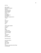a n d, h e y.

there was this there was this asteroid t h a t fle w really close to me and was engulfed totally engulfed in this blue flame? it was **really** cool like *magical* like once in a lifetime kind of m a gic al.

and you know ? i just got a lot of time….

which is really valuable! you know? to think…. and reflect on what i knew and what i thought and *how* i thought and i don't know…. i just like, got to be present.

that sounds corny

but it was *really* fun and also, yeah. boring scary, totally but…. i just got to a good place about things i'm not worried.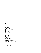but….

hang on,

i'm not done like i just kinda got to be pulled down a river for like *so* long and it was slow like, gentle this just gentle tug? for like SO long, you know? it was sweet. this constant tug…. it was really soft and i kinda fell in love wit h it. the tug i don't know if that means i fell in love with you but. i don't know this just feels…. obvious? right? i don't know…. like for SO long i didn't know i couldn't even FATHOM what was p ullin g m e … thought for a while

that there might not even be anything....pulling me

that i was just like,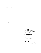floating on my own…. like i was like…. broken or something god…..

but no! no!! it was you're a **black hole**! that's so cool!! look at you!! it just makes sense.

and i get to meet you?! i get to actually **have** like, an answer?!?!

to this question i've had for like, pshh for forever?

**that's** so cool. that's **so** cool….

> *and then the star was close enough that its matter started being lifted from its surface*

*and the planet really felt it felt the transition.*

*and, it made a lot of sense*

### *and*

*the black hole wished more than anything else that it didn't feel like it made sense*

*but it did feel like it make sense. made so much sense to them both.*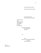*and the planet was consumed.*

*fallen into the black hole's weight.*

*and the black hole's hum took over the vacuum once again.*

*and the black hole cried with a lot of tension and self-hatred and confusion and love but mostly grief*

> *because it had destroyed this fuckin' planet! you know?*

*but…..*

*well…. okay okay, now this is just me speaking like, miles this is just miles now*

*okay….so what's that law?....*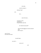*that matter….*

*cannot be created or….*

*destroyed? right?*

*well….*

*then….*

*doesn't that mean….*

*somewhere in there…. somewhere in this grief-stricken black hole*

*idk, maybe even in its grief?*

*doesn't the planet have to be in there somehow? it like, CAN'T be gone….*

*even if it is just…. in the black hole's grief….*

*can grief maybe….*

*carry with it….*

*some sort of*

*….life?*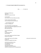**9. He says he keeps the lights off to save power, but….**

*okay…………….i'm ready now.*

the 92 year old white man uttered this while sat on the side of his bed.

he had arthritis and a broken rib that was healing very slowly.

he had a memory that was fading and an enthusiasm that was all but dust.

….most importantly, though he had on a birthday hat

one of those plastic cone birthday hats one with a thin string that wrapped around his chin which, to his old skin, felt a lot like razor wire

and was opening him up slowly, to reveal some blood some old blood

but he couldn't take the hat off with his fingers because of his arthritis

and he couldn't ask one of his children (who were in the other room) to take it off because he'd forgotten their names.

and he didn't want them to know he'd forgotten their names so he just made some joke about how he was going to wear the hat forever and then he closed the door to his large bedroom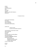and sat in silence and embarrassment. alone and in pain. confused. talking to a god he didn't believe in telling them,

*i'm ready to die now.*

and the silence that followed this request was so deafening and so unsurprising and yet still so heart-breaking

and the man,

who has a name but who can't remember it right now

*could* remember so many times in his life where he felt jovial and excited and even, in the times when he *had* felt suffering that he also felt some complicated **combination** of feelings during those moments grief mixed with love heartbreak mixed with new life confusion mixed with rage so much complex feeling.

but now he felt….

so….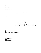plain?

so **plainly** sad….

so **plainly** sorrowful.

*why….why would any sort of god let something this pitiful even exist?*

he said those words out loud. and he meant them. asked them genuinely.

> *isn't something….this….ugh, my god pathetic? shouldn't something this pitiful be taken out? ….you clean stains off the bathroom tiles, don't you? you wash clothes when there's some wretched smell, don't you?*

and then the only sound in the room was the ceiling fan

he wanted to be dead. so badly he wanted to be dead.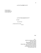*you think it'll get better than this?*

he was mad now. he was starting to cry. he was scared now.

*you think it'll turn around after this???*

*i'm done!*

*it's over for me*

*….it's been over for so long*

*for me*

\*sigh\*

and…. outside the nameless man's room were his 4 children Marcy, Deborah, Wolf, and Lee with *their* collective 6 children Kristen, Mako, Hue, Lily, Florence, and Keenan who sat in front of an indoor fire holding glasses of wine and scotch and sparkling apple cider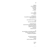laughing and complaining in a whisper, about their "handful" of a father.

which, bonded them all together

ravings which, the grandkids collectively listened to like a bedtime story

> the complaints about this old man were their shared lullaby.

and this family lore, would bind the 6 grandchildren together for the rest of their lives creating a real sense of community between them all.

so,

their grandfather's self-identified pitifulness and their parents' disdain for it…. brought them all together?

> and would be something they would all use to connect until the nameless man died.

> > 6 years later….

……….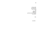and even still, even after that, they would all *still* talk about **bond** over just how much of a handful he could be.

was.

even still….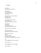#### **10. a poem.**

*we we there, at the beginning of everything.*

*we were there, in the total darkness and in the total darkness we were there.*

*when each sound came into existence each sight to see each feeling to feel*

*we saw them roll in like a parade some ecstatic goop filling up the beaker of this existence*

*until it was full of everything everything there ever was and everything there ever would be*

*and we took none of it for granted.*

*because we were there, awake before the birds started chirping*

*awake to see every thing wake up for the very first time with those baby blue bird eyes that didn't know a single thing that was in store*

*and we got to know what the sky sounded like*

*when it was quiet………*

*we were there to know what it was like*

*when it was quiet………*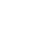...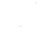$72\,$ 

 $\mathbf{r}=\mathbf{r}+\mathbf{r}$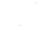

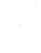

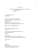*time had passed.*

*so much time had passed that all these stories now felt dated. felt from another time. a younger time.*

………

*and the person came back…. to the garden!*

*yeaaaah, the person who was in the garden? who at one point was in it with two people but now…. mold over the eyes? remember? the two people who went blind with the mold and then were just wandering around the garden forever?*

*well, yeah, they eventually left that garden duh.*

*they definitely didn't think they ever would but they did.*

*the mold on their eyes eventually started hardening over and then started cracking, chipping.*

*slowly, for sure but after a while one of them could see just a bit again and tore off the remaining chunks of mold stuck to their eyelids….*

*and then, yeah…. left….*

*and then, some time later…. the other one of them started to see as well saw that they were just wanderin' 'round*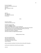*the same old garden, and, tearing off the rest of their mold they also… after breathing for a while, left.*

*and now…. after a long time, one of them has come back to the garden.*

jesus.

*the person muttered as they stood at the foot of it all.*

*the garden had grown wildly. had grown completely unhinged the grass had a height minimum of 3 and a half feet tall walking through it would mean completely submerging most of their body in the grass and there were trees and vines that spiraled dozens of feet up into the sky up so high that the person couldn't even see the tops interlocking cross-sections of vegetation with slices of shade and sunlight beaming throughout*

anything could be in there…

*and it sure sounded like that….. clicks and screeches and calls and howls and growls and roars all overlapping each other into some riotous cacophony*

*almost sounded like everything in the whole world was living within that garden……*

*and the person looked down at where they were standing*

*and saw,*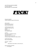*each of their legs absolutely covered in fucking mosquitos!! there were like 15 on each leg!!!*

## FUCK!

*the person jumped!! violently swatting the bugs off of their body*

*which worked. the blood-suckers flew off back into their grassy fray*

*and then the person stood a few feet further back now, panting, looking out into this overgrown garden*

*and they then looked out passed the garden out at the horizon which was now showing sunset showing oranges and reds and a deep cool blue*

*and then they looked back out into the garden*

*at the over….growth…… which….*

*really seems to have taken on a life of its own….*

*bugs and beasts and bushes ………an ecosystem*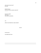*where did it all come from? the mold?*

*………… the two of them? did the two of them somehow make this? …………*

*the person sighed didn't know, and smiled to themselves.*

*and*

*without much attachment, simply muttered*

ah well.

*turned around.*

*and walked back home.*

°·°·°·°·°·°·°·°·°·°·°·°·°·°·°·°·°·°·°·°·°·°·°·°·°·°·°·°·°·°·°·°·°·°·°·°·°·°·°·°·°·°·°·°·°·°·°·°·°·°·°·°·°·°·°·°·°·°· °·°·°·°·°·°·°·°·°·°·°·°·°·°·°·°·°·°·°·°·°·°·°·°·°·°·°·°·°·°·°·°·°·°·°·°·°·°·°·°·°·°·°·°·°·°·°·°·°·°·°·°·°·°·°·°·°·°·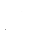thanks,